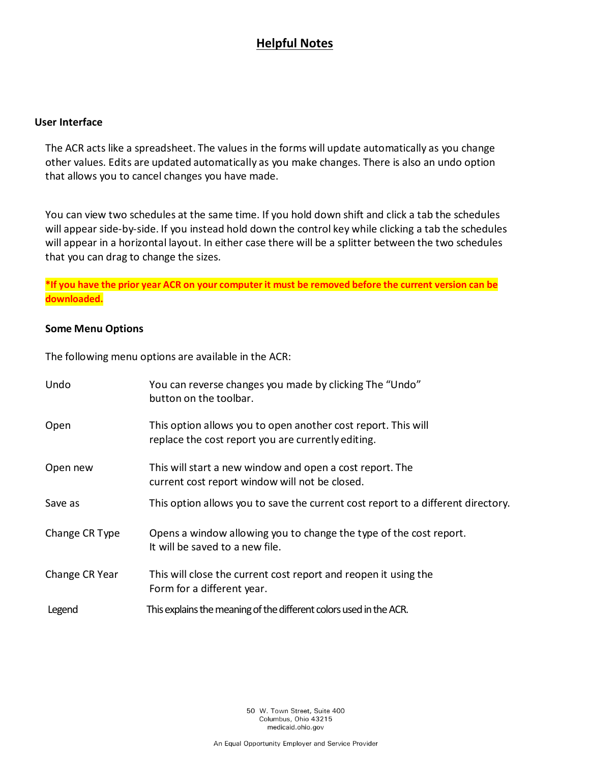# **Helpful Notes**

### **User Interface**

The ACR acts like a spreadsheet. The values in the forms will update automatically as you change other values. Edits are updated automatically as you make changes. There is also an undo option that allows you to cancel changes you have made.

You can view two schedules at the same time. If you hold down shift and click a tab the schedules will appear side-by-side. If you instead hold down the control key while clicking a tab the schedules will appear in a horizontal layout. In either case there will be a splitter between the two schedules that you can drag to change the sizes.

**\*If you have the prior year ACR on your computerit must be removed before the current version can be downloaded.**

#### **Some Menu Options**

The following menu options are available in the ACR:

| Undo           | You can reverse changes you made by clicking The "Undo"<br>button on the toolbar.                                   |
|----------------|---------------------------------------------------------------------------------------------------------------------|
| Open           | This option allows you to open another cost report. This will<br>replace the cost report you are currently editing. |
| Open new       | This will start a new window and open a cost report. The<br>current cost report window will not be closed.          |
| Save as        | This option allows you to save the current cost report to a different directory.                                    |
| Change CR Type | Opens a window allowing you to change the type of the cost report.<br>It will be saved to a new file.               |
| Change CR Year | This will close the current cost report and reopen it using the<br>Form for a different year.                       |
| Legend         | This explains the meaning of the different colors used in the ACR.                                                  |

50 W. Town Street, Suite 400 Columbus, Ohio 43215 medicaid.ohio.gov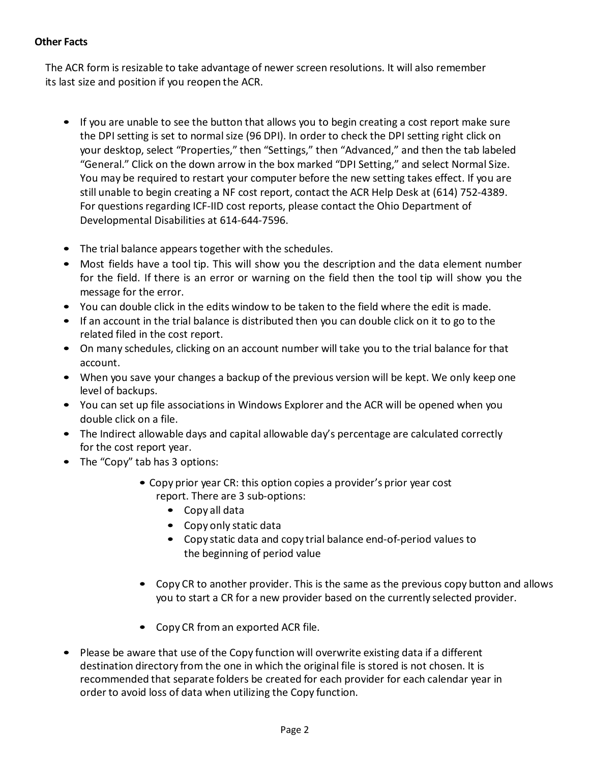# **Other Facts**

The ACR form is resizable to take advantage of newer screen resolutions. It will also remember its last size and position if you reopen the ACR.

- If you are unable to see the button that allows you to begin creating a cost report make sure the DPI setting is set to normal size (96 DPI). In order to check the DPI setting right click on your desktop, select "Properties," then "Settings," then "Advanced," and then the tab labeled "General." Click on the down arrow in the box marked "DPI Setting," and select Normal Size. You may be required to restart your computer before the new setting takes effect. If you are still unable to begin creating a NF cost report, contact the ACR Help Desk at (614) 752-4389. For questions regarding ICF-IID cost reports, please contact the Ohio Department of Developmental Disabilities at 614-644-7596.
- The trial balance appears together with the schedules.
- Most fields have a tool tip. This will show you the description and the data element number for the field. If there is an error or warning on the field then the tool tip will show you the message for the error.
- You can double click in the edits window to be taken to the field where the edit is made.
- If an account in the trial balance is distributed then you can double click on it to go to the related filed in the cost report.
- On many schedules, clicking on an account number will take you to the trial balance for that account.
- When you save your changes a backup of the previous version will be kept. We only keep one level of backups.
- You can set up file associations in Windows Explorer and the ACR will be opened when you double click on a file.
- The Indirect allowable days and capital allowable day's percentage are calculated correctly for the cost report year.
- The "Copy" tab has 3 options:
	- Copy prior year CR: this option copies a provider's prior year cost report. There are 3 sub-options:
		- Copy all data
		- Copy only static data
		- Copy static data and copy trial balance end-of-period values to the beginning of period value
	- Copy CR to another provider. This is the same as the previous copy button and allows you to start a CR for a new provider based on the currently selected provider.
	- Copy CR from an exported ACR file.
- Please be aware that use of the Copy function will overwrite existing data if a different destination directory from the one in which the original file is stored is not chosen. It is recommended that separate folders be created for each provider for each calendar year in order to avoid loss of data when utilizing the Copy function.